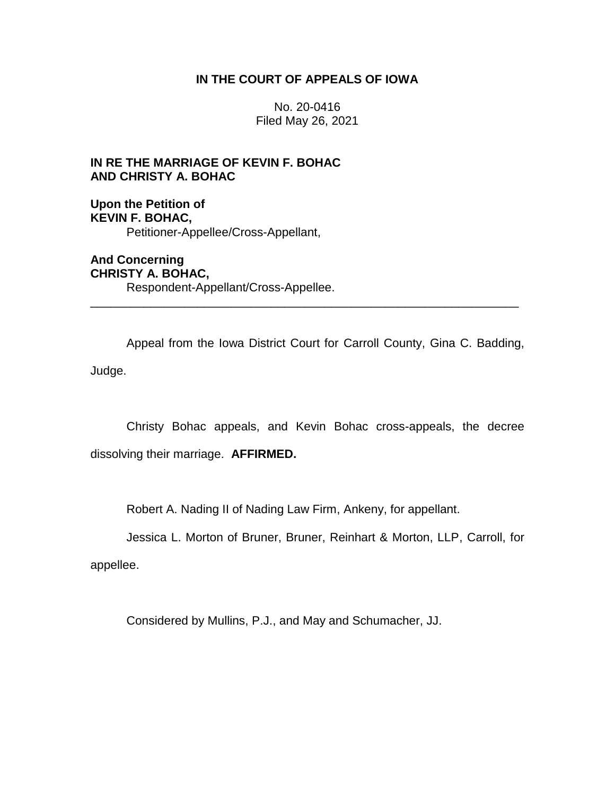# **IN THE COURT OF APPEALS OF IOWA**

No. 20-0416 Filed May 26, 2021

# **IN RE THE MARRIAGE OF KEVIN F. BOHAC AND CHRISTY A. BOHAC**

**Upon the Petition of KEVIN F. BOHAC,** Petitioner-Appellee/Cross-Appellant,

**And Concerning CHRISTY A. BOHAC,** Respondent-Appellant/Cross-Appellee.

Appeal from the Iowa District Court for Carroll County, Gina C. Badding, Judge.

\_\_\_\_\_\_\_\_\_\_\_\_\_\_\_\_\_\_\_\_\_\_\_\_\_\_\_\_\_\_\_\_\_\_\_\_\_\_\_\_\_\_\_\_\_\_\_\_\_\_\_\_\_\_\_\_\_\_\_\_\_\_\_\_

Christy Bohac appeals, and Kevin Bohac cross-appeals, the decree dissolving their marriage. **AFFIRMED.**

Robert A. Nading II of Nading Law Firm, Ankeny, for appellant.

Jessica L. Morton of Bruner, Bruner, Reinhart & Morton, LLP, Carroll, for

appellee.

Considered by Mullins, P.J., and May and Schumacher, JJ.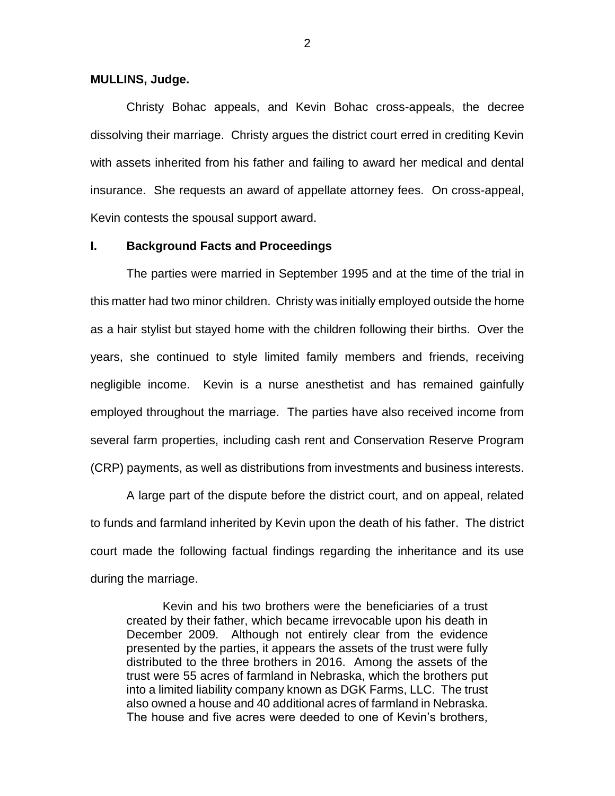#### **MULLINS, Judge.**

Christy Bohac appeals, and Kevin Bohac cross-appeals, the decree dissolving their marriage. Christy argues the district court erred in crediting Kevin with assets inherited from his father and failing to award her medical and dental insurance. She requests an award of appellate attorney fees. On cross-appeal, Kevin contests the spousal support award.

### **I. Background Facts and Proceedings**

The parties were married in September 1995 and at the time of the trial in this matter had two minor children. Christy was initially employed outside the home as a hair stylist but stayed home with the children following their births. Over the years, she continued to style limited family members and friends, receiving negligible income. Kevin is a nurse anesthetist and has remained gainfully employed throughout the marriage. The parties have also received income from several farm properties, including cash rent and Conservation Reserve Program (CRP) payments, as well as distributions from investments and business interests.

A large part of the dispute before the district court, and on appeal, related to funds and farmland inherited by Kevin upon the death of his father. The district court made the following factual findings regarding the inheritance and its use during the marriage.

Kevin and his two brothers were the beneficiaries of a trust created by their father, which became irrevocable upon his death in December 2009. Although not entirely clear from the evidence presented by the parties, it appears the assets of the trust were fully distributed to the three brothers in 2016. Among the assets of the trust were 55 acres of farmland in Nebraska, which the brothers put into a limited liability company known as DGK Farms, LLC. The trust also owned a house and 40 additional acres of farmland in Nebraska. The house and five acres were deeded to one of Kevin's brothers,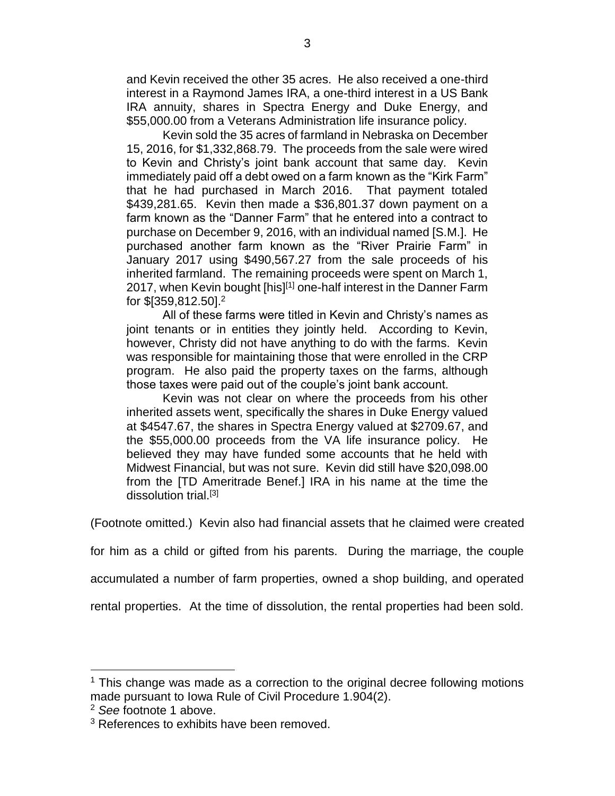and Kevin received the other 35 acres. He also received a one-third interest in a Raymond James IRA, a one-third interest in a US Bank IRA annuity, shares in Spectra Energy and Duke Energy, and \$55,000.00 from a Veterans Administration life insurance policy.

Kevin sold the 35 acres of farmland in Nebraska on December 15, 2016, for \$1,332,868.79. The proceeds from the sale were wired to Kevin and Christy's joint bank account that same day. Kevin immediately paid off a debt owed on a farm known as the "Kirk Farm" that he had purchased in March 2016. That payment totaled \$439,281.65. Kevin then made a \$36,801.37 down payment on a farm known as the "Danner Farm" that he entered into a contract to purchase on December 9, 2016, with an individual named [S.M.]. He purchased another farm known as the "River Prairie Farm" in January 2017 using \$490,567.27 from the sale proceeds of his inherited farmland. The remaining proceeds were spent on March 1, 2017, when Kevin bought [his]<sup>[1]</sup> one-half interest in the Danner Farm for \$[359,812.50]. 2

All of these farms were titled in Kevin and Christy's names as joint tenants or in entities they jointly held. According to Kevin, however, Christy did not have anything to do with the farms. Kevin was responsible for maintaining those that were enrolled in the CRP program. He also paid the property taxes on the farms, although those taxes were paid out of the couple's joint bank account.

Kevin was not clear on where the proceeds from his other inherited assets went, specifically the shares in Duke Energy valued at \$4547.67, the shares in Spectra Energy valued at \$2709.67, and the \$55,000.00 proceeds from the VA life insurance policy. He believed they may have funded some accounts that he held with Midwest Financial, but was not sure. Kevin did still have \$20,098.00 from the [TD Ameritrade Benef.] IRA in his name at the time the dissolution trial.[3]

(Footnote omitted.) Kevin also had financial assets that he claimed were created

for him as a child or gifted from his parents. During the marriage, the couple

accumulated a number of farm properties, owned a shop building, and operated

rental properties. At the time of dissolution, the rental properties had been sold.

<sup>&</sup>lt;sup>1</sup> This change was made as a correction to the original decree following motions made pursuant to Iowa Rule of Civil Procedure 1.904(2).

<sup>2</sup> *See* footnote 1 above.

<sup>&</sup>lt;sup>3</sup> References to exhibits have been removed.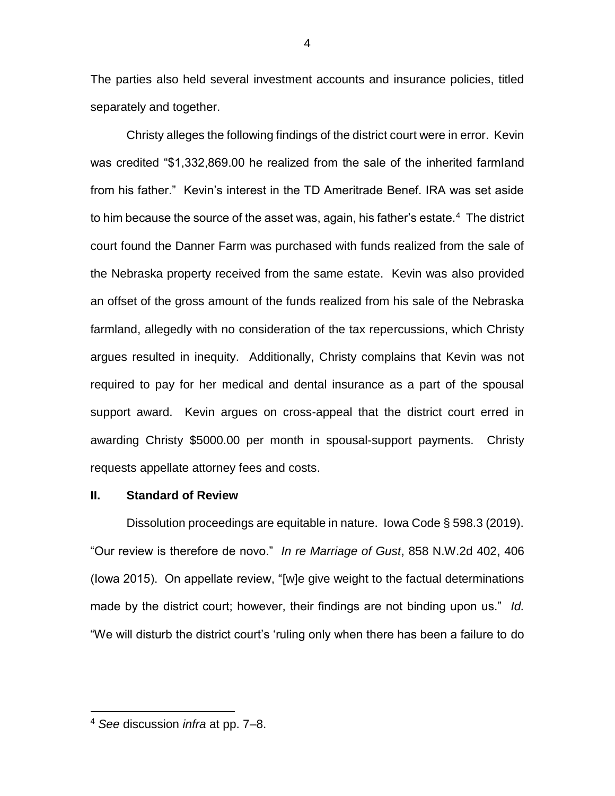The parties also held several investment accounts and insurance policies, titled separately and together.

Christy alleges the following findings of the district court were in error. Kevin was credited "\$1,332,869.00 he realized from the sale of the inherited farmland from his father." Kevin's interest in the TD Ameritrade Benef. IRA was set aside to him because the source of the asset was, again, his father's estate. $4\,$  The district court found the Danner Farm was purchased with funds realized from the sale of the Nebraska property received from the same estate. Kevin was also provided an offset of the gross amount of the funds realized from his sale of the Nebraska farmland, allegedly with no consideration of the tax repercussions, which Christy argues resulted in inequity. Additionally, Christy complains that Kevin was not required to pay for her medical and dental insurance as a part of the spousal support award. Kevin argues on cross-appeal that the district court erred in awarding Christy \$5000.00 per month in spousal-support payments. Christy requests appellate attorney fees and costs.

### **II. Standard of Review**

Dissolution proceedings are equitable in nature. Iowa Code § 598.3 (2019). "Our review is therefore de novo." *In re Marriage of Gust*, 858 N.W.2d 402, 406 (Iowa 2015). On appellate review, "[w]e give weight to the factual determinations made by the district court; however, their findings are not binding upon us." *Id.* "We will disturb the district court's 'ruling only when there has been a failure to do

<sup>4</sup> *See* discussion *infra* at pp. 7–8.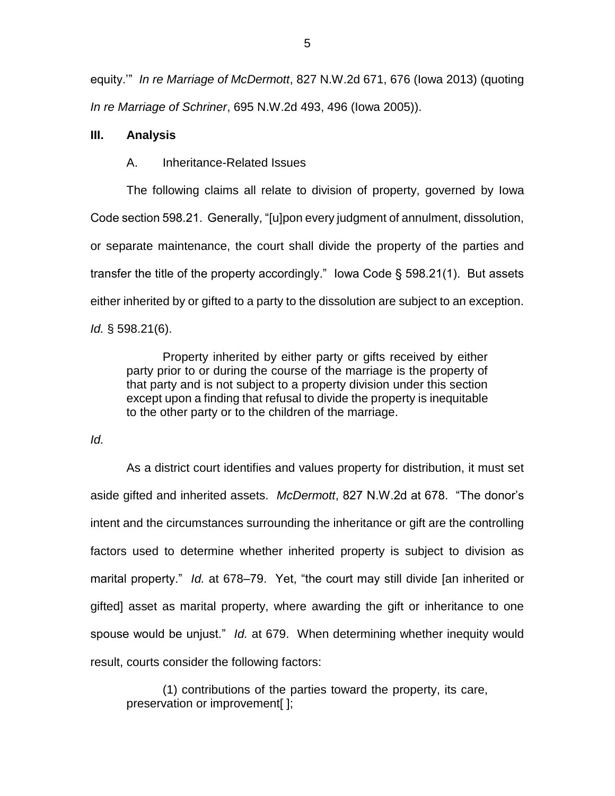equity.'" *In re Marriage of McDermott*, 827 N.W.2d 671, 676 (Iowa 2013) (quoting *In re Marriage of Schriner*, 695 N.W.2d 493, 496 (Iowa 2005)).

## **III. Analysis**

A. Inheritance-Related Issues

The following claims all relate to division of property, governed by Iowa Code section 598.21. Generally, "[u]pon every judgment of annulment, dissolution, or separate maintenance, the court shall divide the property of the parties and transfer the title of the property accordingly." Iowa Code § 598.21(1). But assets either inherited by or gifted to a party to the dissolution are subject to an exception. *Id.* § 598.21(6).

Property inherited by either party or gifts received by either party prior to or during the course of the marriage is the property of that party and is not subject to a property division under this section except upon a finding that refusal to divide the property is inequitable to the other party or to the children of the marriage.

*Id.*

As a district court identifies and values property for distribution, it must set aside gifted and inherited assets. *McDermott*, 827 N.W.2d at 678. "The donor's intent and the circumstances surrounding the inheritance or gift are the controlling factors used to determine whether inherited property is subject to division as marital property." *Id.* at 678–79. Yet, "the court may still divide [an inherited or gifted] asset as marital property, where awarding the gift or inheritance to one spouse would be unjust." *Id.* at 679. When determining whether inequity would result, courts consider the following factors:

(1) contributions of the parties toward the property, its care, preservation or improvement[ ];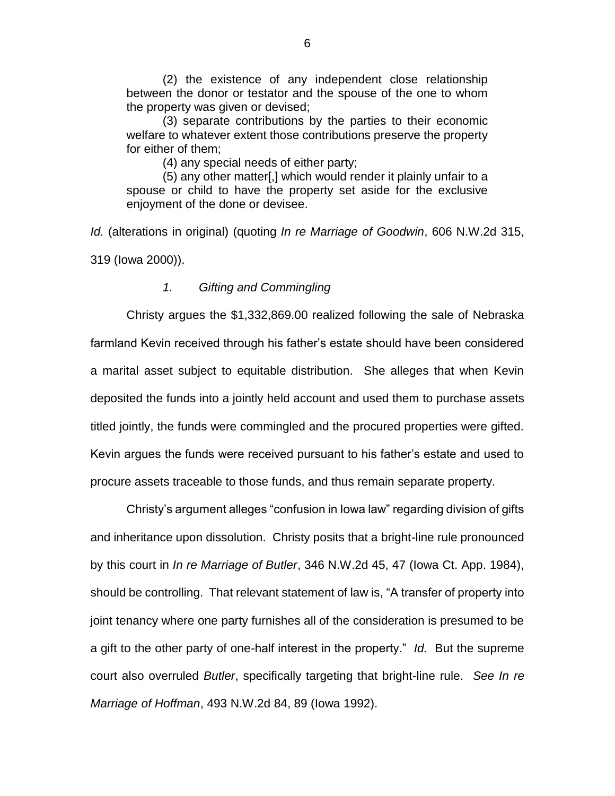(2) the existence of any independent close relationship between the donor or testator and the spouse of the one to whom the property was given or devised;

(3) separate contributions by the parties to their economic welfare to whatever extent those contributions preserve the property for either of them;

(4) any special needs of either party;

(5) any other matter[,] which would render it plainly unfair to a spouse or child to have the property set aside for the exclusive enjoyment of the done or devisee.

*Id.* (alterations in original) (quoting *In re Marriage of Goodwin*, 606 N.W.2d 315, 319 (Iowa 2000)).

## *1. Gifting and Commingling*

Christy argues the \$1,332,869.00 realized following the sale of Nebraska farmland Kevin received through his father's estate should have been considered a marital asset subject to equitable distribution. She alleges that when Kevin deposited the funds into a jointly held account and used them to purchase assets titled jointly, the funds were commingled and the procured properties were gifted. Kevin argues the funds were received pursuant to his father's estate and used to procure assets traceable to those funds, and thus remain separate property.

Christy's argument alleges "confusion in Iowa law" regarding division of gifts and inheritance upon dissolution. Christy posits that a bright-line rule pronounced by this court in *In re Marriage of Butler*, 346 N.W.2d 45, 47 (Iowa Ct. App. 1984), should be controlling. That relevant statement of law is, "A transfer of property into joint tenancy where one party furnishes all of the consideration is presumed to be a gift to the other party of one-half interest in the property." *Id.* But the supreme court also overruled *Butler*, specifically targeting that bright-line rule. *See In re Marriage of Hoffman*, 493 N.W.2d 84, 89 (Iowa 1992).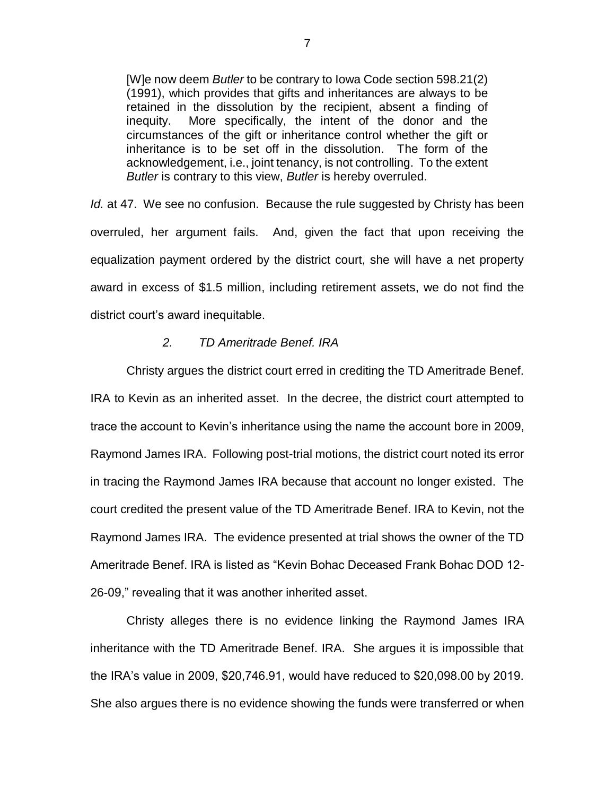[W]e now deem *Butler* to be contrary to Iowa Code section 598.21(2) (1991), which provides that gifts and inheritances are always to be retained in the dissolution by the recipient, absent a finding of inequity. More specifically, the intent of the donor and the circumstances of the gift or inheritance control whether the gift or inheritance is to be set off in the dissolution. The form of the acknowledgement, i.e., joint tenancy, is not controlling. To the extent *Butler* is contrary to this view, *Butler* is hereby overruled.

*Id.* at 47. We see no confusion. Because the rule suggested by Christy has been overruled, her argument fails. And, given the fact that upon receiving the equalization payment ordered by the district court, she will have a net property award in excess of \$1.5 million, including retirement assets, we do not find the district court's award inequitable.

## *2. TD Ameritrade Benef. IRA*

Christy argues the district court erred in crediting the TD Ameritrade Benef. IRA to Kevin as an inherited asset. In the decree, the district court attempted to trace the account to Kevin's inheritance using the name the account bore in 2009, Raymond James IRA. Following post-trial motions, the district court noted its error in tracing the Raymond James IRA because that account no longer existed. The court credited the present value of the TD Ameritrade Benef. IRA to Kevin, not the Raymond James IRA. The evidence presented at trial shows the owner of the TD Ameritrade Benef. IRA is listed as "Kevin Bohac Deceased Frank Bohac DOD 12- 26-09," revealing that it was another inherited asset.

Christy alleges there is no evidence linking the Raymond James IRA inheritance with the TD Ameritrade Benef. IRA. She argues it is impossible that the IRA's value in 2009, \$20,746.91, would have reduced to \$20,098.00 by 2019. She also argues there is no evidence showing the funds were transferred or when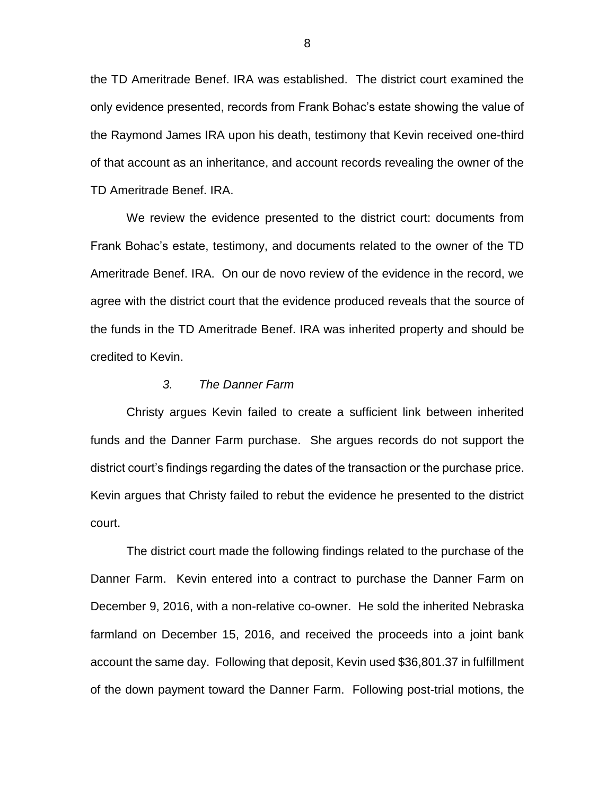the TD Ameritrade Benef. IRA was established. The district court examined the only evidence presented, records from Frank Bohac's estate showing the value of the Raymond James IRA upon his death, testimony that Kevin received one-third of that account as an inheritance, and account records revealing the owner of the TD Ameritrade Benef. IRA.

We review the evidence presented to the district court: documents from Frank Bohac's estate, testimony, and documents related to the owner of the TD Ameritrade Benef. IRA. On our de novo review of the evidence in the record, we agree with the district court that the evidence produced reveals that the source of the funds in the TD Ameritrade Benef. IRA was inherited property and should be credited to Kevin.

#### *3. The Danner Farm*

Christy argues Kevin failed to create a sufficient link between inherited funds and the Danner Farm purchase. She argues records do not support the district court's findings regarding the dates of the transaction or the purchase price. Kevin argues that Christy failed to rebut the evidence he presented to the district court.

The district court made the following findings related to the purchase of the Danner Farm. Kevin entered into a contract to purchase the Danner Farm on December 9, 2016, with a non-relative co-owner. He sold the inherited Nebraska farmland on December 15, 2016, and received the proceeds into a joint bank account the same day. Following that deposit, Kevin used \$36,801.37 in fulfillment of the down payment toward the Danner Farm. Following post-trial motions, the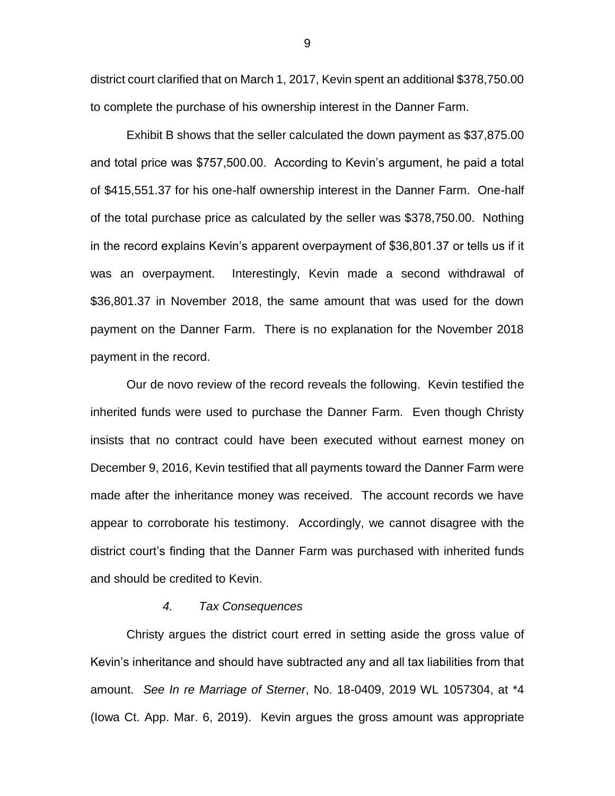district court clarified that on March 1, 2017, Kevin spent an additional \$378,750.00 to complete the purchase of his ownership interest in the Danner Farm.

Exhibit B shows that the seller calculated the down payment as \$37,875.00 and total price was \$757,500.00. According to Kevin's argument, he paid a total of \$415,551.37 for his one-half ownership interest in the Danner Farm. One-half of the total purchase price as calculated by the seller was \$378,750.00. Nothing in the record explains Kevin's apparent overpayment of \$36,801.37 or tells us if it was an overpayment. Interestingly, Kevin made a second withdrawal of \$36,801.37 in November 2018, the same amount that was used for the down payment on the Danner Farm. There is no explanation for the November 2018 payment in the record.

Our de novo review of the record reveals the following. Kevin testified the inherited funds were used to purchase the Danner Farm. Even though Christy insists that no contract could have been executed without earnest money on December 9, 2016, Kevin testified that all payments toward the Danner Farm were made after the inheritance money was received. The account records we have appear to corroborate his testimony. Accordingly, we cannot disagree with the district court's finding that the Danner Farm was purchased with inherited funds and should be credited to Kevin.

### *4. Tax Consequences*

Christy argues the district court erred in setting aside the gross value of Kevin's inheritance and should have subtracted any and all tax liabilities from that amount. *See In re Marriage of Sterner*, No. 18-0409, 2019 WL 1057304, at \*4 (Iowa Ct. App. Mar. 6, 2019). Kevin argues the gross amount was appropriate

9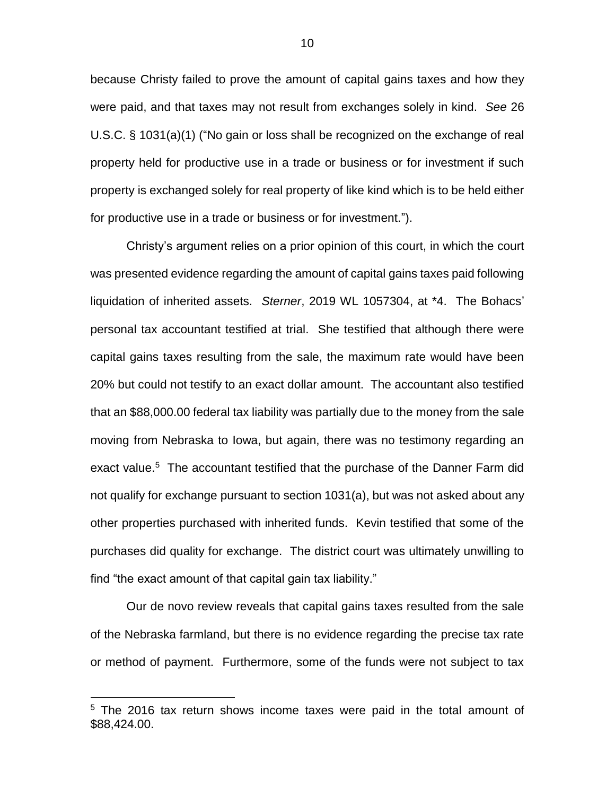because Christy failed to prove the amount of capital gains taxes and how they were paid, and that taxes may not result from exchanges solely in kind. *See* 26 U.S.C. § 1031(a)(1) ("No gain or loss shall be recognized on the exchange of real property held for productive use in a trade or business or for investment if such property is exchanged solely for real property of like kind which is to be held either for productive use in a trade or business or for investment.").

Christy's argument relies on a prior opinion of this court, in which the court was presented evidence regarding the amount of capital gains taxes paid following liquidation of inherited assets. *Sterner*, 2019 WL 1057304, at \*4. The Bohacs' personal tax accountant testified at trial. She testified that although there were capital gains taxes resulting from the sale, the maximum rate would have been 20% but could not testify to an exact dollar amount. The accountant also testified that an \$88,000.00 federal tax liability was partially due to the money from the sale moving from Nebraska to Iowa, but again, there was no testimony regarding an exact value.<sup>5</sup> The accountant testified that the purchase of the Danner Farm did not qualify for exchange pursuant to section 1031(a), but was not asked about any other properties purchased with inherited funds. Kevin testified that some of the purchases did quality for exchange. The district court was ultimately unwilling to find "the exact amount of that capital gain tax liability."

Our de novo review reveals that capital gains taxes resulted from the sale of the Nebraska farmland, but there is no evidence regarding the precise tax rate or method of payment. Furthermore, some of the funds were not subject to tax

<sup>5</sup> The 2016 tax return shows income taxes were paid in the total amount of \$88,424.00.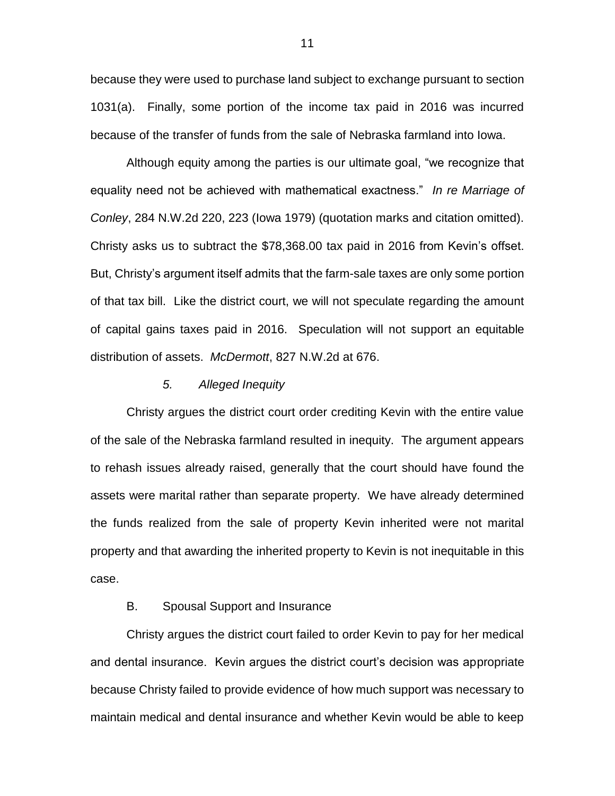because they were used to purchase land subject to exchange pursuant to section 1031(a). Finally, some portion of the income tax paid in 2016 was incurred because of the transfer of funds from the sale of Nebraska farmland into Iowa.

Although equity among the parties is our ultimate goal, "we recognize that equality need not be achieved with mathematical exactness." *In re Marriage of Conley*, 284 N.W.2d 220, 223 (Iowa 1979) (quotation marks and citation omitted). Christy asks us to subtract the \$78,368.00 tax paid in 2016 from Kevin's offset. But, Christy's argument itself admits that the farm-sale taxes are only some portion of that tax bill. Like the district court, we will not speculate regarding the amount of capital gains taxes paid in 2016. Speculation will not support an equitable distribution of assets. *McDermott*, 827 N.W.2d at 676.

### *5. Alleged Inequity*

Christy argues the district court order crediting Kevin with the entire value of the sale of the Nebraska farmland resulted in inequity. The argument appears to rehash issues already raised, generally that the court should have found the assets were marital rather than separate property. We have already determined the funds realized from the sale of property Kevin inherited were not marital property and that awarding the inherited property to Kevin is not inequitable in this case.

## B. Spousal Support and Insurance

Christy argues the district court failed to order Kevin to pay for her medical and dental insurance. Kevin argues the district court's decision was appropriate because Christy failed to provide evidence of how much support was necessary to maintain medical and dental insurance and whether Kevin would be able to keep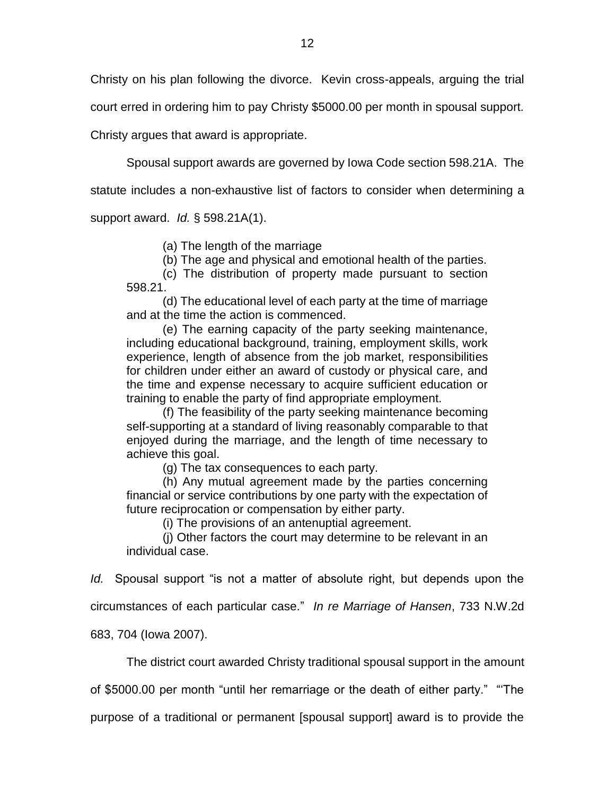Christy on his plan following the divorce. Kevin cross-appeals, arguing the trial

court erred in ordering him to pay Christy \$5000.00 per month in spousal support.

Christy argues that award is appropriate.

Spousal support awards are governed by Iowa Code section 598.21A. The

statute includes a non-exhaustive list of factors to consider when determining a

support award. *Id.* § 598.21A(1).

(a) The length of the marriage

(b) The age and physical and emotional health of the parties.

(c) The distribution of property made pursuant to section 598.21.

(d) The educational level of each party at the time of marriage and at the time the action is commenced.

(e) The earning capacity of the party seeking maintenance, including educational background, training, employment skills, work experience, length of absence from the job market, responsibilities for children under either an award of custody or physical care, and the time and expense necessary to acquire sufficient education or training to enable the party of find appropriate employment.

(f) The feasibility of the party seeking maintenance becoming self-supporting at a standard of living reasonably comparable to that enjoyed during the marriage, and the length of time necessary to achieve this goal.

(g) The tax consequences to each party.

(h) Any mutual agreement made by the parties concerning financial or service contributions by one party with the expectation of future reciprocation or compensation by either party.

(i) The provisions of an antenuptial agreement.

(j) Other factors the court may determine to be relevant in an individual case.

*Id.* Spousal support "is not a matter of absolute right, but depends upon the

circumstances of each particular case." *In re Marriage of Hansen*, 733 N.W.2d

683, 704 (Iowa 2007).

The district court awarded Christy traditional spousal support in the amount

of \$5000.00 per month "until her remarriage or the death of either party." "'The

purpose of a traditional or permanent [spousal support] award is to provide the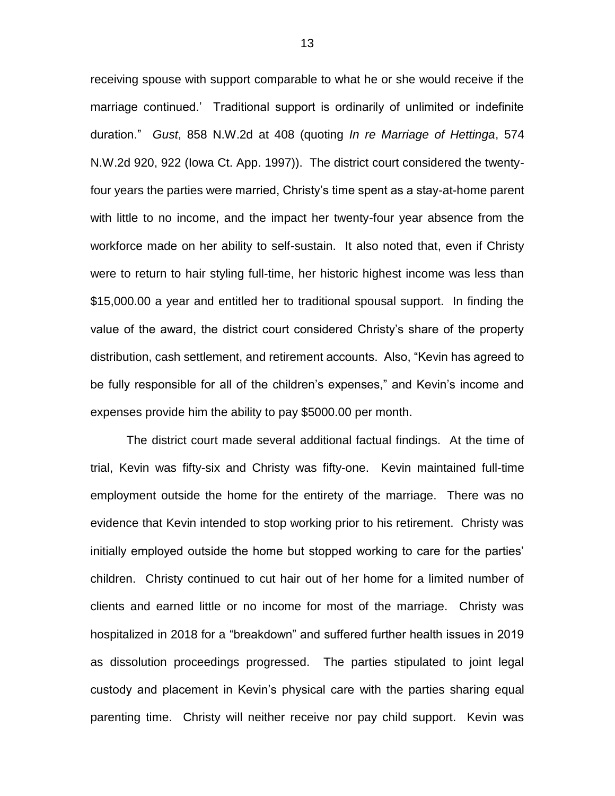receiving spouse with support comparable to what he or she would receive if the marriage continued.' Traditional support is ordinarily of unlimited or indefinite duration." *Gust*, 858 N.W.2d at 408 (quoting *In re Marriage of Hettinga*, 574 N.W.2d 920, 922 (Iowa Ct. App. 1997)). The district court considered the twentyfour years the parties were married, Christy's time spent as a stay-at-home parent with little to no income, and the impact her twenty-four year absence from the workforce made on her ability to self-sustain. It also noted that, even if Christy were to return to hair styling full-time, her historic highest income was less than \$15,000.00 a year and entitled her to traditional spousal support. In finding the value of the award, the district court considered Christy's share of the property distribution, cash settlement, and retirement accounts. Also, "Kevin has agreed to be fully responsible for all of the children's expenses," and Kevin's income and expenses provide him the ability to pay \$5000.00 per month.

The district court made several additional factual findings. At the time of trial, Kevin was fifty-six and Christy was fifty-one. Kevin maintained full-time employment outside the home for the entirety of the marriage. There was no evidence that Kevin intended to stop working prior to his retirement. Christy was initially employed outside the home but stopped working to care for the parties' children. Christy continued to cut hair out of her home for a limited number of clients and earned little or no income for most of the marriage. Christy was hospitalized in 2018 for a "breakdown" and suffered further health issues in 2019 as dissolution proceedings progressed. The parties stipulated to joint legal custody and placement in Kevin's physical care with the parties sharing equal parenting time. Christy will neither receive nor pay child support. Kevin was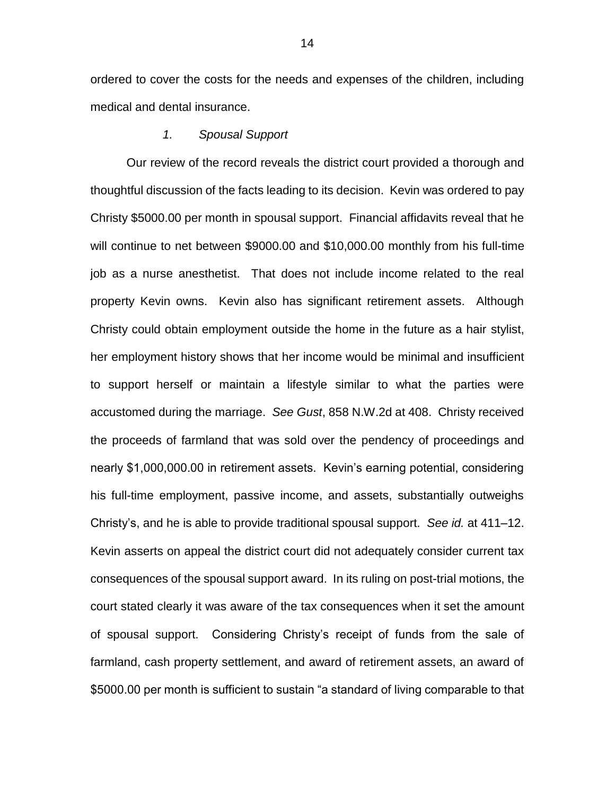ordered to cover the costs for the needs and expenses of the children, including medical and dental insurance.

### *1. Spousal Support*

Our review of the record reveals the district court provided a thorough and thoughtful discussion of the facts leading to its decision. Kevin was ordered to pay Christy \$5000.00 per month in spousal support. Financial affidavits reveal that he will continue to net between \$9000.00 and \$10,000.00 monthly from his full-time job as a nurse anesthetist. That does not include income related to the real property Kevin owns. Kevin also has significant retirement assets. Although Christy could obtain employment outside the home in the future as a hair stylist, her employment history shows that her income would be minimal and insufficient to support herself or maintain a lifestyle similar to what the parties were accustomed during the marriage. *See Gust*, 858 N.W.2d at 408. Christy received the proceeds of farmland that was sold over the pendency of proceedings and nearly \$1,000,000.00 in retirement assets. Kevin's earning potential, considering his full-time employment, passive income, and assets, substantially outweighs Christy's, and he is able to provide traditional spousal support. *See id.* at 411–12. Kevin asserts on appeal the district court did not adequately consider current tax consequences of the spousal support award. In its ruling on post-trial motions, the court stated clearly it was aware of the tax consequences when it set the amount of spousal support. Considering Christy's receipt of funds from the sale of farmland, cash property settlement, and award of retirement assets, an award of \$5000.00 per month is sufficient to sustain "a standard of living comparable to that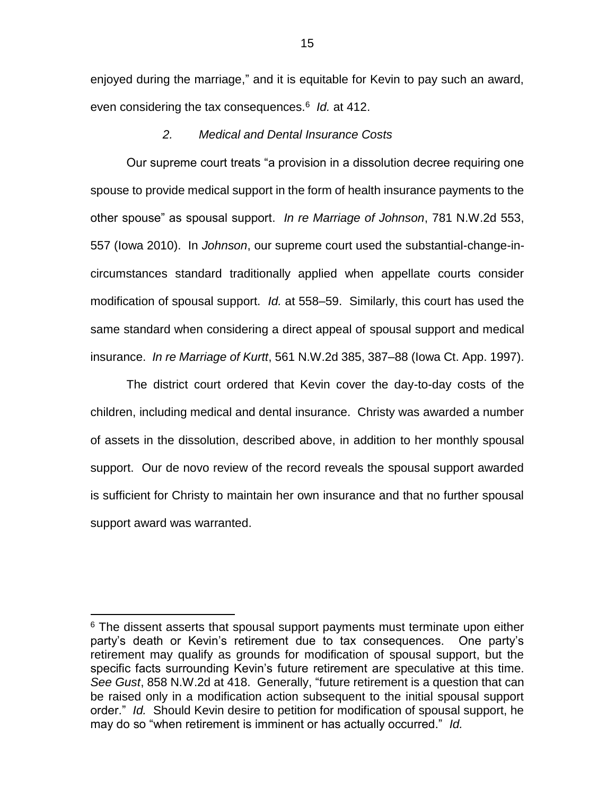enjoyed during the marriage," and it is equitable for Kevin to pay such an award, even considering the tax consequences.<sup>6</sup> *Id.* at 412.

## *2. Medical and Dental Insurance Costs*

Our supreme court treats "a provision in a dissolution decree requiring one spouse to provide medical support in the form of health insurance payments to the other spouse" as spousal support. *In re Marriage of Johnson*, 781 N.W.2d 553, 557 (Iowa 2010). In *Johnson*, our supreme court used the substantial-change-incircumstances standard traditionally applied when appellate courts consider modification of spousal support. *Id.* at 558–59. Similarly, this court has used the same standard when considering a direct appeal of spousal support and medical insurance. *In re Marriage of Kurtt*, 561 N.W.2d 385, 387–88 (Iowa Ct. App. 1997).

The district court ordered that Kevin cover the day-to-day costs of the children, including medical and dental insurance. Christy was awarded a number of assets in the dissolution, described above, in addition to her monthly spousal support. Our de novo review of the record reveals the spousal support awarded is sufficient for Christy to maintain her own insurance and that no further spousal support award was warranted.

 $6$  The dissent asserts that spousal support payments must terminate upon either party's death or Kevin's retirement due to tax consequences. One party's retirement may qualify as grounds for modification of spousal support, but the specific facts surrounding Kevin's future retirement are speculative at this time. *See Gust*, 858 N.W.2d at 418. Generally, "future retirement is a question that can be raised only in a modification action subsequent to the initial spousal support order." *Id.* Should Kevin desire to petition for modification of spousal support, he may do so "when retirement is imminent or has actually occurred." *Id.*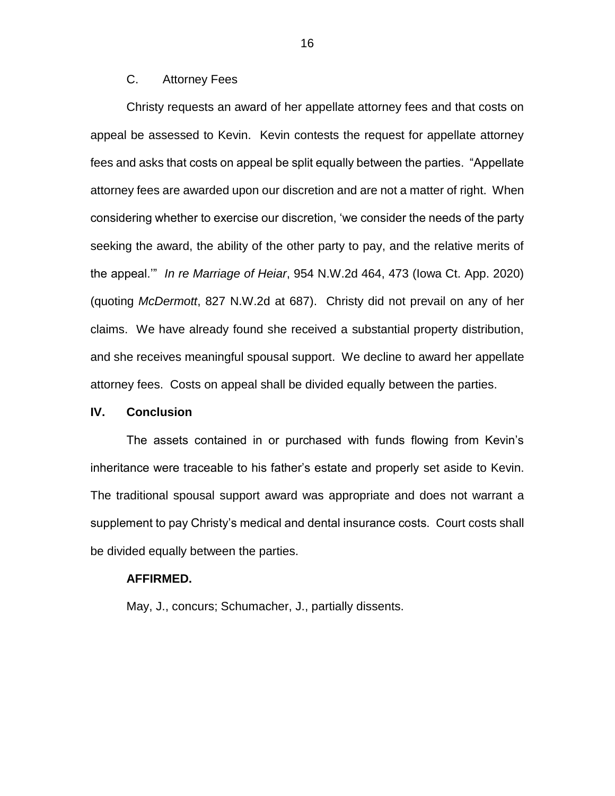# C. Attorney Fees

Christy requests an award of her appellate attorney fees and that costs on appeal be assessed to Kevin. Kevin contests the request for appellate attorney fees and asks that costs on appeal be split equally between the parties. "Appellate attorney fees are awarded upon our discretion and are not a matter of right. When considering whether to exercise our discretion, 'we consider the needs of the party seeking the award, the ability of the other party to pay, and the relative merits of the appeal.'" *In re Marriage of Heiar*, 954 N.W.2d 464, 473 (Iowa Ct. App. 2020) (quoting *McDermott*, 827 N.W.2d at 687). Christy did not prevail on any of her claims. We have already found she received a substantial property distribution, and she receives meaningful spousal support. We decline to award her appellate attorney fees. Costs on appeal shall be divided equally between the parties.

### **IV. Conclusion**

The assets contained in or purchased with funds flowing from Kevin's inheritance were traceable to his father's estate and properly set aside to Kevin. The traditional spousal support award was appropriate and does not warrant a supplement to pay Christy's medical and dental insurance costs. Court costs shall be divided equally between the parties.

#### **AFFIRMED.**

May, J., concurs; Schumacher, J., partially dissents.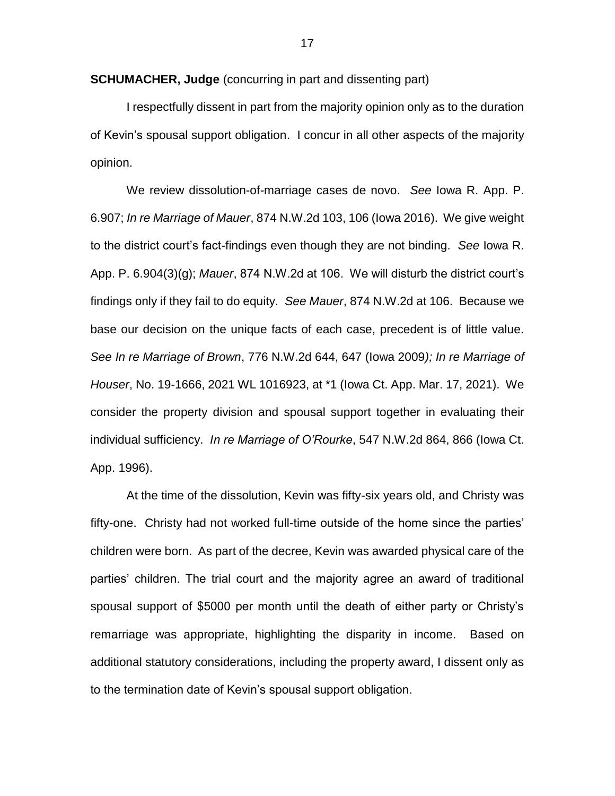**SCHUMACHER, Judge** (concurring in part and dissenting part)

I respectfully dissent in part from the majority opinion only as to the duration of Kevin's spousal support obligation. I concur in all other aspects of the majority opinion.

We review dissolution-of-marriage cases de novo. *See* Iowa R. App. P. 6.907; *In re Marriage of Mauer*, 874 N.W.2d 103, 106 (Iowa 2016). We give weight to the district court's fact-findings even though they are not binding. *See* Iowa R. App. P. 6.904(3)(g); *Mauer*, 874 N.W.2d at 106. We will disturb the district court's findings only if they fail to do equity. *See Mauer*, 874 N.W.2d at 106. Because we base our decision on the unique facts of each case, precedent is of little value. *See In re Marriage of Brown*, 776 N.W.2d 644, 647 (Iowa 2009*); In re Marriage of Houser*, No. 19-1666, 2021 WL 1016923, at \*1 (Iowa Ct. App. Mar. 17, 2021). We consider the property division and spousal support together in evaluating their individual sufficiency. *In re Marriage of O'Rourke*, 547 N.W.2d 864, 866 (Iowa Ct. App. 1996).

At the time of the dissolution, Kevin was fifty-six years old, and Christy was fifty-one. Christy had not worked full-time outside of the home since the parties' children were born. As part of the decree, Kevin was awarded physical care of the parties' children. The trial court and the majority agree an award of traditional spousal support of \$5000 per month until the death of either party or Christy's remarriage was appropriate, highlighting the disparity in income. Based on additional statutory considerations, including the property award, I dissent only as to the termination date of Kevin's spousal support obligation.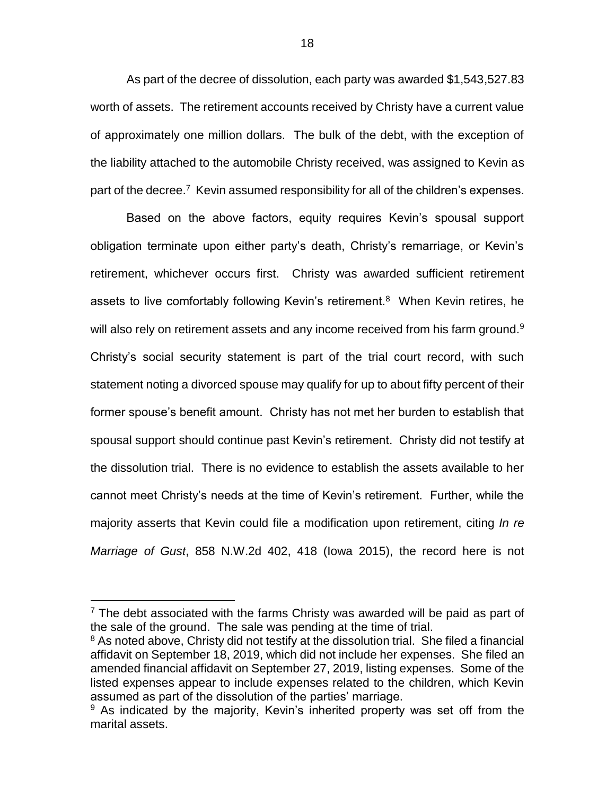As part of the decree of dissolution, each party was awarded \$1,543,527.83 worth of assets. The retirement accounts received by Christy have a current value of approximately one million dollars. The bulk of the debt, with the exception of the liability attached to the automobile Christy received, was assigned to Kevin as part of the decree.<sup>7</sup> Kevin assumed responsibility for all of the children's expenses.

Based on the above factors, equity requires Kevin's spousal support obligation terminate upon either party's death, Christy's remarriage, or Kevin's retirement, whichever occurs first. Christy was awarded sufficient retirement assets to live comfortably following Kevin's retirement.<sup>8</sup> When Kevin retires, he will also rely on retirement assets and any income received from his farm ground. $9$ Christy's social security statement is part of the trial court record, with such statement noting a divorced spouse may qualify for up to about fifty percent of their former spouse's benefit amount. Christy has not met her burden to establish that spousal support should continue past Kevin's retirement. Christy did not testify at the dissolution trial. There is no evidence to establish the assets available to her cannot meet Christy's needs at the time of Kevin's retirement. Further, while the majority asserts that Kevin could file a modification upon retirement, citing *In re Marriage of Gust*, 858 N.W.2d 402, 418 (Iowa 2015), the record here is not

 $7$  The debt associated with the farms Christy was awarded will be paid as part of the sale of the ground. The sale was pending at the time of trial.

<sup>&</sup>lt;sup>8</sup> As noted above, Christy did not testify at the dissolution trial. She filed a financial affidavit on September 18, 2019, which did not include her expenses. She filed an amended financial affidavit on September 27, 2019, listing expenses. Some of the listed expenses appear to include expenses related to the children, which Kevin assumed as part of the dissolution of the parties' marriage.

 $9$  As indicated by the majority, Kevin's inherited property was set off from the marital assets.